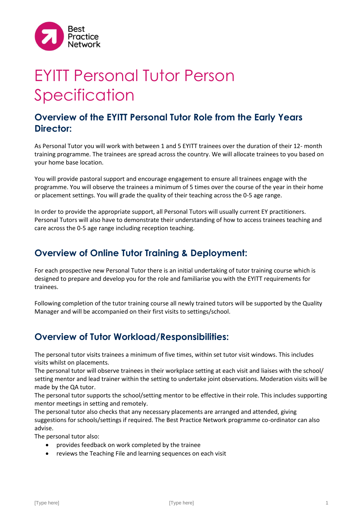

# EYITT Personal Tutor Person **Specification**

## **Overview of the EYITT Personal Tutor Role from the Early Years Director:**

As Personal Tutor you will work with between 1 and 5 EYITT trainees over the duration of their 12- month training programme. The trainees are spread across the country. We will allocate trainees to you based on your home base location.

You will provide pastoral support and encourage engagement to ensure all trainees engage with the programme. You will observe the trainees a minimum of 5 times over the course of the year in their home or placement settings. You will grade the quality of their teaching across the 0-5 age range.

In order to provide the appropriate support, all Personal Tutors will usually current EY practitioners. Personal Tutors will also have to demonstrate their understanding of how to access trainees teaching and care across the 0-5 age range including reception teaching.

# **Overview of Online Tutor Training & Deployment:**

For each prospective new Personal Tutor there is an initial undertaking of tutor training course which is designed to prepare and develop you for the role and familiarise you with the EYITT requirements for trainees.

Following completion of the tutor training course all newly trained tutors will be supported by the Quality Manager and will be accompanied on their first visits to settings/school.

# **Overview of Tutor Workload/Responsibilities:**

The personal tutor visits trainees a minimum of five times, within set tutor visit windows. This includes visits whilst on placements.

The personal tutor will observe trainees in their workplace setting at each visit and liaises with the school/ setting mentor and lead trainer within the setting to undertake joint observations. Moderation visits will be made by the QA tutor.

The personal tutor supports the school/setting mentor to be effective in their role. This includes supporting mentor meetings in setting and remotely.

The personal tutor also checks that any necessary placements are arranged and attended, giving suggestions for schools/settings if required. The Best Practice Network programme co-ordinator can also advise.

The personal tutor also:

- provides feedback on work completed by the trainee
- reviews the Teaching File and learning sequences on each visit